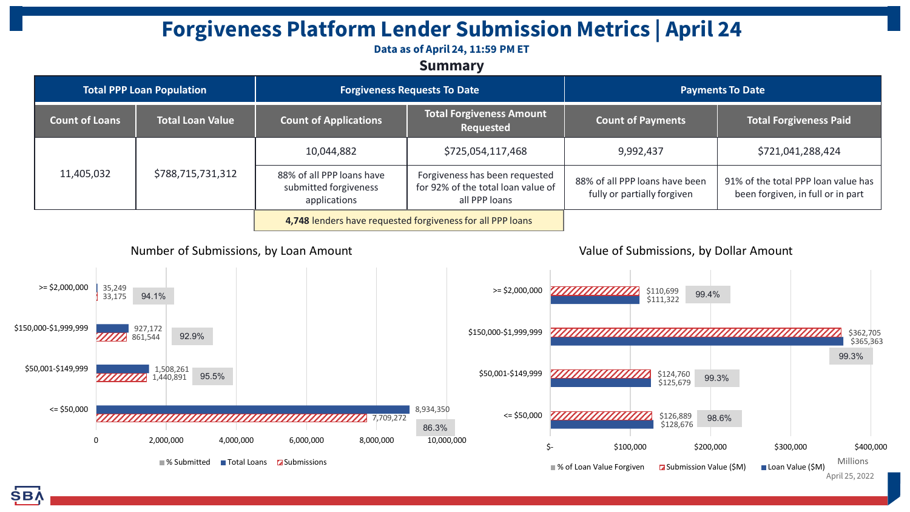# **Forgiveness Platform Lender Submission Metrics | April 24**

### **Data as of April 24, 11:59 PM ET**

### **Summary**

| <b>Total PPP Loan Population</b> |                         | <b>Forgiveness Requests To Date</b>                                |                                                                                       | <b>Payments To Date</b>                                       |                                                                          |
|----------------------------------|-------------------------|--------------------------------------------------------------------|---------------------------------------------------------------------------------------|---------------------------------------------------------------|--------------------------------------------------------------------------|
| <b>Count of Loans</b>            | <b>Total Loan Value</b> | <b>Count of Applications</b>                                       | <b>Total Forgiveness Amount</b><br>Requested                                          | <b>Count of Payments</b>                                      | <b>Total Forgiveness Paid</b>                                            |
| 11,405,032                       | \$788,715,731,312       | 10,044,882                                                         | \$725,054,117,468                                                                     | 9,992,437                                                     | \$721,041,288,424                                                        |
|                                  |                         | 88% of all PPP loans have<br>submitted forgiveness<br>applications | Forgiveness has been requested<br>for 92% of the total loan value of<br>all PPP loans | 88% of all PPP loans have been<br>fully or partially forgiven | 91% of the total PPP loan value has<br>been forgiven, in full or in part |
|                                  |                         | 4,748 lenders have requested forgiveness for all PPP loans         |                                                                                       |                                                               |                                                                          |



Value of Submissions, by Dollar Amount

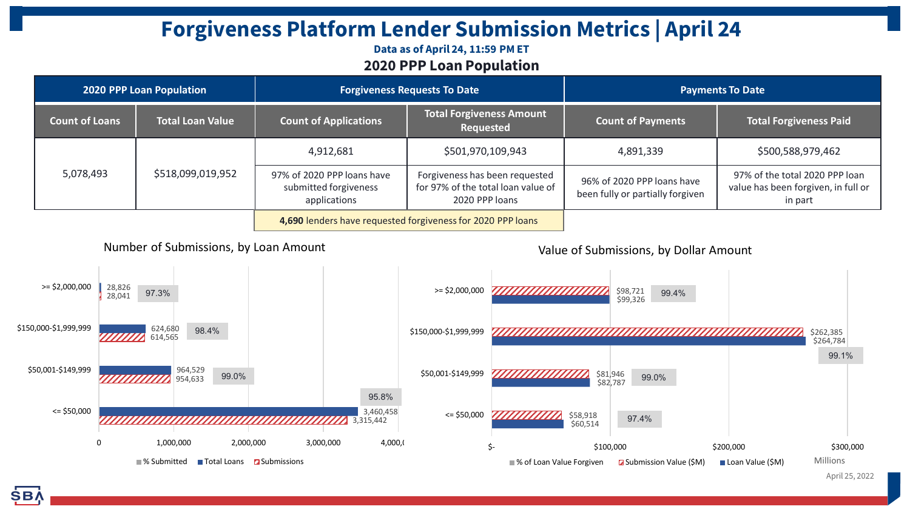## **Forgiveness Platform Lender Submission Metrics | April 24**

### **Data as of April 24, 11:59 PM ET 2020 PPP Loan Population**

| 2020 PPP Loan Population                                                        |                         | <b>Forgiveness Requests To Date</b>                                 |                                                                                        | <b>Payments To Date</b>                                        |                                                                                  |
|---------------------------------------------------------------------------------|-------------------------|---------------------------------------------------------------------|----------------------------------------------------------------------------------------|----------------------------------------------------------------|----------------------------------------------------------------------------------|
| <b>Count of Loans</b>                                                           | <b>Total Loan Value</b> | <b>Count of Applications</b>                                        | <b>Total Forgiveness Amount</b><br>Requested                                           | <b>Count of Payments</b>                                       | <b>Total Forgiveness Paid</b>                                                    |
| 5,078,493                                                                       | \$518,099,019,952       | 4,912,681                                                           | \$501,970,109,943                                                                      | 4,891,339                                                      | \$500,588,979,462                                                                |
|                                                                                 |                         | 97% of 2020 PPP loans have<br>submitted forgiveness<br>applications | Forgiveness has been requested<br>for 97% of the total loan value of<br>2020 PPP loans | 96% of 2020 PPP loans have<br>been fully or partially forgiven | 97% of the total 2020 PPP loan<br>value has been forgiven, in full or<br>in part |
|                                                                                 |                         | 4,690 lenders have requested forgiveness for 2020 PPP loans         |                                                                                        |                                                                |                                                                                  |
| Number of Submissions, by Loan Amount<br>Value of Submissions, by Dollar Amount |                         |                                                                     |                                                                                        |                                                                |                                                                                  |



April 25, 2022